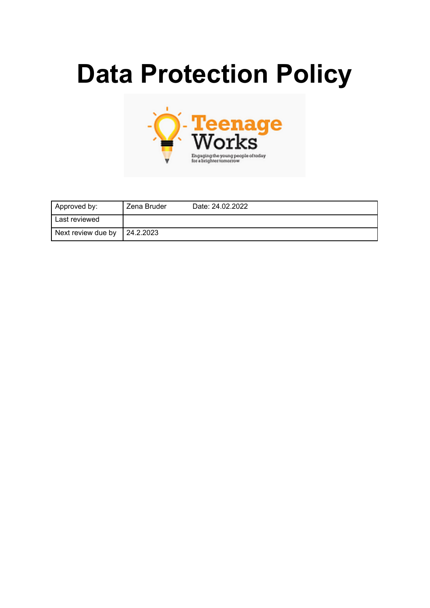# **Data Protection Policy**



| Approved by:       | Zena Bruder | Date: 24.02.2022 |
|--------------------|-------------|------------------|
| Last reviewed      |             |                  |
| Next review due by | 24.2.2023   |                  |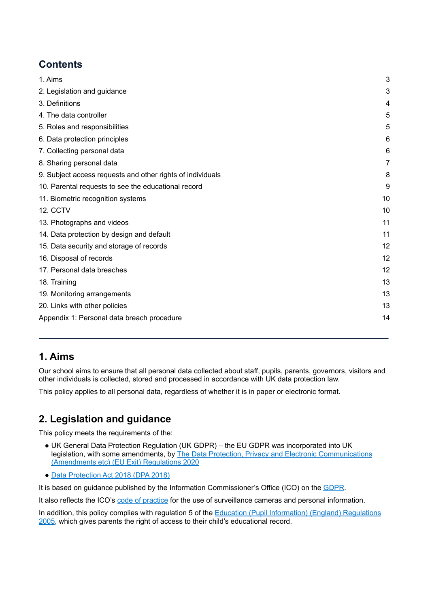# **Contents**

| 1. Aims                                                    | 3              |
|------------------------------------------------------------|----------------|
| 2. Legislation and guidance                                | 3              |
| 3. Definitions                                             | 4              |
| 4. The data controller                                     | 5              |
| 5. Roles and responsibilities                              | 5              |
| 6. Data protection principles                              | 6              |
| 7. Collecting personal data                                | 6              |
| 8. Sharing personal data                                   | $\overline{7}$ |
| 9. Subject access requests and other rights of individuals | 8              |
| 10. Parental requests to see the educational record        | 9              |
| 11. Biometric recognition systems                          | 10             |
| <b>12. CCTV</b>                                            | 10             |
| 13. Photographs and videos                                 | 11             |
| 14. Data protection by design and default                  | 11             |
| 15. Data security and storage of records                   | 12             |
| 16. Disposal of records                                    | 12             |
| 17. Personal data breaches                                 | 12             |
| 18. Training                                               | 13             |
| 19. Monitoring arrangements                                | 13             |
| 20. Links with other policies                              | 13             |
| Appendix 1: Personal data breach procedure                 | 14             |
|                                                            |                |

# <span id="page-1-0"></span>**1. Aims**

Our school aims to ensure that all personal data collected about staff, pupils, parents, governors, visitors and other individuals is collected, stored and processed in accordance with UK data protection law.

<span id="page-1-1"></span>This policy applies to all personal data, regardless of whether it is in paper or electronic format.

# **2. Legislation and guidance**

This policy meets the requirements of the:

- UK General Data Protection Regulation (UK GDPR) the EU GDPR was incorporated into UK legislation, with some amendments, by The Data Protection, Privacy and Electronic [Communications](https://www.legislation.gov.uk/uksi/2020/1586/made) [\(Amendments](https://www.legislation.gov.uk/uksi/2020/1586/made) etc) (EU Exit) Regulations 2020
- Data [Protection](http://www.legislation.gov.uk/ukpga/2018/12/contents/enacted) Act 2018 (DPA 2018)

It is based on guidance published by the Information Commissioner's Office (ICO) on the [GDPR](https://ico.org.uk/for-organisations/guide-to-the-general-data-protection-regulation-gdpr/).

It also reflects the ICO's code of [practice](https://ico.org.uk/media/for-organisations/documents/1542/cctv-code-of-practice.pdf) for the use of surveillance cameras and personal information.

<span id="page-1-2"></span>In addition, this policy complies with regulation 5 of the Education (Pupil [Information\)](http://www.legislation.gov.uk/uksi/2005/1437/regulation/5/made) (England) Regulations [2005](http://www.legislation.gov.uk/uksi/2005/1437/regulation/5/made), which gives parents the right of access to their child's educational record.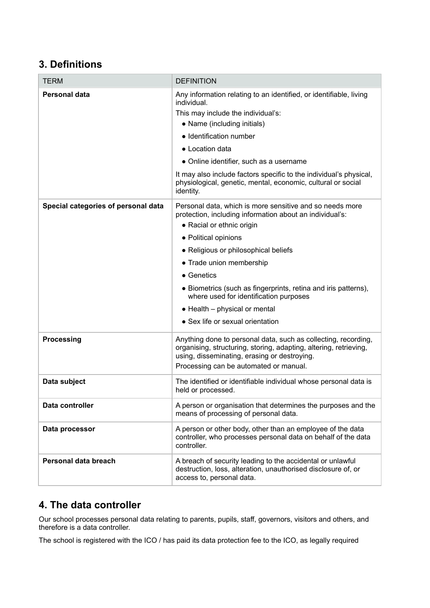# **3. Definitions**

| <b>TERM</b>                         | <b>DEFINITION</b>                                                                                                                                                                                                                                                                                                                                                                                                                                            |
|-------------------------------------|--------------------------------------------------------------------------------------------------------------------------------------------------------------------------------------------------------------------------------------------------------------------------------------------------------------------------------------------------------------------------------------------------------------------------------------------------------------|
| Personal data                       | Any information relating to an identified, or identifiable, living<br>individual.<br>This may include the individual's:<br>• Name (including initials)<br>• Identification number<br>• Location data<br>• Online identifier, such as a username<br>It may also include factors specific to the individual's physical,<br>physiological, genetic, mental, economic, cultural or social<br>identity.                                                           |
| Special categories of personal data | Personal data, which is more sensitive and so needs more<br>protection, including information about an individual's:<br>• Racial or ethnic origin<br>• Political opinions<br>• Religious or philosophical beliefs<br>• Trade union membership<br>$\bullet$ Genetics<br>• Biometrics (such as fingerprints, retina and iris patterns),<br>where used for identification purposes<br>$\bullet$ Health – physical or mental<br>• Sex life or sexual orientation |
| Processing                          | Anything done to personal data, such as collecting, recording,<br>organising, structuring, storing, adapting, altering, retrieving,<br>using, disseminating, erasing or destroying.<br>Processing can be automated or manual.                                                                                                                                                                                                                                |
| Data subject                        | The identified or identifiable individual whose personal data is<br>held or processed.                                                                                                                                                                                                                                                                                                                                                                       |
| Data controller                     | A person or organisation that determines the purposes and the<br>means of processing of personal data.                                                                                                                                                                                                                                                                                                                                                       |
| Data processor                      | A person or other body, other than an employee of the data<br>controller, who processes personal data on behalf of the data<br>controller.                                                                                                                                                                                                                                                                                                                   |
| Personal data breach                | A breach of security leading to the accidental or unlawful<br>destruction, loss, alteration, unauthorised disclosure of, or<br>access to, personal data.                                                                                                                                                                                                                                                                                                     |

# <span id="page-2-0"></span>**4. The data controller**

Our school processes personal data relating to parents, pupils, staff, governors, visitors and others, and therefore is a data controller.

The school is registered with the ICO / has paid its data protection fee to the ICO, as legally required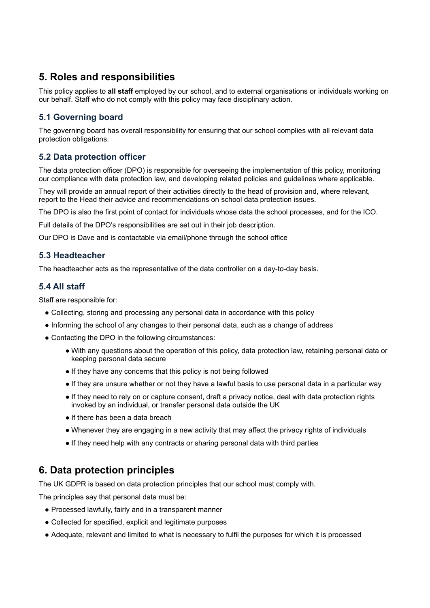# <span id="page-3-0"></span>**5. Roles and responsibilities**

This policy applies to **all staff** employed by our school, and to external organisations or individuals working on our behalf. Staff who do not comply with this policy may face disciplinary action.

## **5.1 Governing board**

The governing board has overall responsibility for ensuring that our school complies with all relevant data protection obligations.

### **5.2 Data protection officer**

The data protection officer (DPO) is responsible for overseeing the implementation of this policy, monitoring our compliance with data protection law, and developing related policies and guidelines where applicable.

They will provide an annual report of their activities directly to the head of provision and, where relevant, report to the Head their advice and recommendations on school data protection issues.

The DPO is also the first point of contact for individuals whose data the school processes, and for the ICO.

Full details of the DPO's responsibilities are set out in their job description.

Our DPO is Dave and is contactable via email/phone through the school office

#### **5.3 Headteacher**

The headteacher acts as the representative of the data controller on a day-to-day basis.

#### **5.4 All staff**

Staff are responsible for:

- Collecting, storing and processing any personal data in accordance with this policy
- Informing the school of any changes to their personal data, such as a change of address
- Contacting the DPO in the following circumstances:
	- With any questions about the operation of this policy, data protection law, retaining personal data or keeping personal data secure
	- If they have any concerns that this policy is not being followed
	- If they are unsure whether or not they have a lawful basis to use personal data in a particular way
	- If they need to rely on or capture consent, draft a privacy notice, deal with data protection rights invoked by an individual, or transfer personal data outside the UK
	- If there has been a data breach
	- Whenever they are engaging in a new activity that may affect the privacy rights of individuals
	- If they need help with any contracts or sharing personal data with third parties

## <span id="page-3-1"></span>**6. Data protection principles**

The UK GDPR is based on data protection principles that our school must comply with.

The principles say that personal data must be:

- Processed lawfully, fairly and in a transparent manner
- Collected for specified, explicit and legitimate purposes
- Adequate, relevant and limited to what is necessary to fulfil the purposes for which it is processed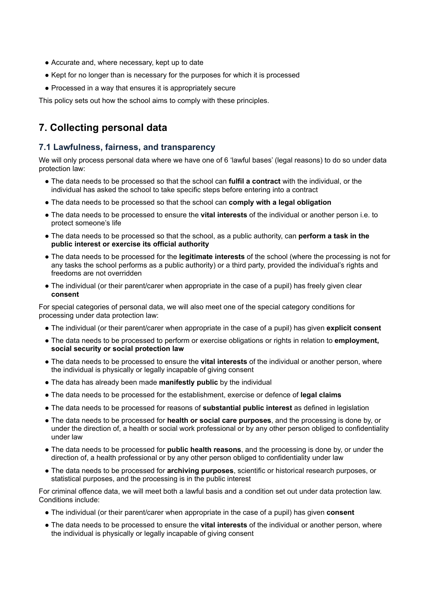- Accurate and, where necessary, kept up to date
- Kept for no longer than is necessary for the purposes for which it is processed
- Processed in a way that ensures it is appropriately secure

<span id="page-4-0"></span>This policy sets out how the school aims to comply with these principles.

# **7. Collecting personal data**

#### **7.1 Lawfulness, fairness, and transparency**

We will only process personal data where we have one of 6 'lawful bases' (legal reasons) to do so under data protection law:

- The data needs to be processed so that the school can **fulfil a contract** with the individual, or the individual has asked the school to take specific steps before entering into a contract
- The data needs to be processed so that the school can **comply with a legal obligation**
- The data needs to be processed to ensure the **vital interests** of the individual or another person i.e. to protect someone's life
- The data needs to be processed so that the school, as a public authority, can **perform a task in the public interest or exercise its official authority**
- The data needs to be processed for the **legitimate interests** of the school (where the processing is not for any tasks the school performs as a public authority) or a third party, provided the individual's rights and freedoms are not overridden
- The individual (or their parent/carer when appropriate in the case of a pupil) has freely given clear **consent**

For special categories of personal data, we will also meet one of the special category conditions for processing under data protection law:

- The individual (or their parent/carer when appropriate in the case of a pupil) has given **explicit consent**
- The data needs to be processed to perform or exercise obligations or rights in relation to **employment, social security or social protection law**
- The data needs to be processed to ensure the **vital interests** of the individual or another person, where the individual is physically or legally incapable of giving consent
- The data has already been made **manifestly public** by the individual
- The data needs to be processed for the establishment, exercise or defence of **legal claims**
- The data needs to be processed for reasons of **substantial public interest** as defined in legislation
- The data needs to be processed for **health or social care purposes**, and the processing is done by, or under the direction of, a health or social work professional or by any other person obliged to confidentiality under law
- The data needs to be processed for **public health reasons**, and the processing is done by, or under the direction of, a health professional or by any other person obliged to confidentiality under law
- The data needs to be processed for **archiving purposes**, scientific or historical research purposes, or statistical purposes, and the processing is in the public interest

For criminal offence data, we will meet both a lawful basis and a condition set out under data protection law. Conditions include:

- The individual (or their parent/carer when appropriate in the case of a pupil) has given **consent**
- The data needs to be processed to ensure the **vital interests** of the individual or another person, where the individual is physically or legally incapable of giving consent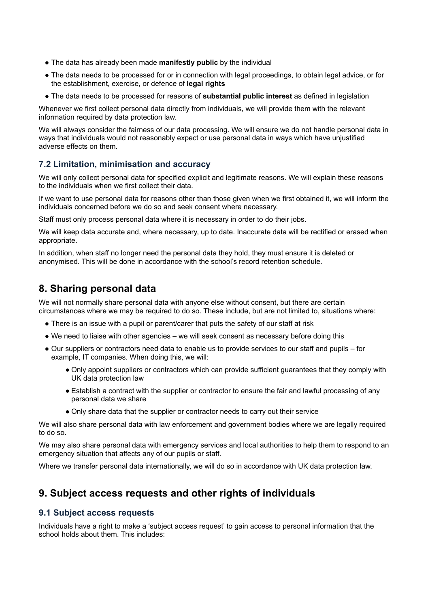- The data has already been made **manifestly public** by the individual
- The data needs to be processed for or in connection with legal proceedings, to obtain legal advice, or for the establishment, exercise, or defence of **legal rights**
- The data needs to be processed for reasons of **substantial public interest** as defined in legislation

Whenever we first collect personal data directly from individuals, we will provide them with the relevant information required by data protection law.

We will always consider the fairness of our data processing. We will ensure we do not handle personal data in ways that individuals would not reasonably expect or use personal data in ways which have unjustified adverse effects on them.

#### **7.2 Limitation, minimisation and accuracy**

We will only collect personal data for specified explicit and legitimate reasons. We will explain these reasons to the individuals when we first collect their data.

If we want to use personal data for reasons other than those given when we first obtained it, we will inform the individuals concerned before we do so and seek consent where necessary.

Staff must only process personal data where it is necessary in order to do their jobs.

We will keep data accurate and, where necessary, up to date. Inaccurate data will be rectified or erased when appropriate.

In addition, when staff no longer need the personal data they hold, they must ensure it is deleted or anonymised. This will be done in accordance with the school's record retention schedule.

## <span id="page-5-0"></span>**8. Sharing personal data**

We will not normally share personal data with anyone else without consent, but there are certain circumstances where we may be required to do so. These include, but are not limited to, situations where:

- There is an issue with a pupil or parent/carer that puts the safety of our staff at risk
- We need to liaise with other agencies we will seek consent as necessary before doing this
- Our suppliers or contractors need data to enable us to provide services to our staff and pupils for example, IT companies. When doing this, we will:
	- Only appoint suppliers or contractors which can provide sufficient guarantees that they comply with UK data protection law
	- Establish a contract with the supplier or contractor to ensure the fair and lawful processing of any personal data we share
	- Only share data that the supplier or contractor needs to carry out their service

We will also share personal data with law enforcement and government bodies where we are legally required to do so.

We may also share personal data with emergency services and local authorities to help them to respond to an emergency situation that affects any of our pupils or staff.

<span id="page-5-1"></span>Where we transfer personal data internationally, we will do so in accordance with UK data protection law.

## **9. Subject access requests and other rights of individuals**

#### **9.1 Subject access requests**

Individuals have a right to make a 'subject access request' to gain access to personal information that the school holds about them. This includes: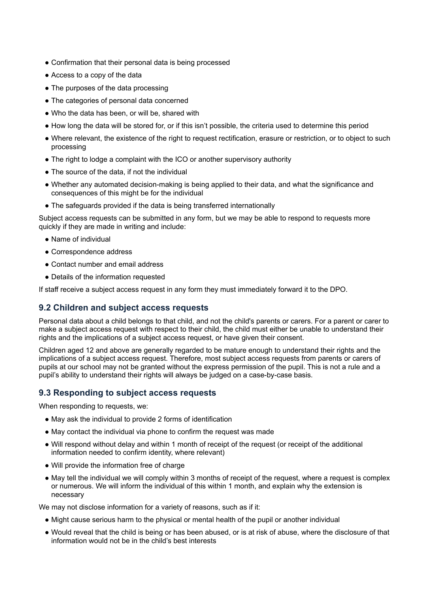- Confirmation that their personal data is being processed
- Access to a copy of the data
- The purposes of the data processing
- The categories of personal data concerned
- Who the data has been, or will be, shared with
- How long the data will be stored for, or if this isn't possible, the criteria used to determine this period
- Where relevant, the existence of the right to request rectification, erasure or restriction, or to object to such processing
- The right to lodge a complaint with the ICO or another supervisory authority
- The source of the data, if not the individual
- Whether any automated decision-making is being applied to their data, and what the significance and consequences of this might be for the individual
- The safeguards provided if the data is being transferred internationally

Subject access requests can be submitted in any form, but we may be able to respond to requests more quickly if they are made in writing and include:

- Name of individual
- Correspondence address
- Contact number and email address
- Details of the information requested

If staff receive a subject access request in any form they must immediately forward it to the DPO.

#### **9.2 Children and subject access requests**

Personal data about a child belongs to that child, and not the child's parents or carers. For a parent or carer to make a subject access request with respect to their child, the child must either be unable to understand their rights and the implications of a subject access request, or have given their consent.

Children aged 12 and above are generally regarded to be mature enough to understand their rights and the implications of a subject access request. Therefore, most subject access requests from parents or carers of pupils at our school may not be granted without the express permission of the pupil. This is not a rule and a pupil's ability to understand their rights will always be judged on a case-by-case basis.

#### **9.3 Responding to subject access requests**

When responding to requests, we:

- May ask the individual to provide 2 forms of identification
- May contact the individual via phone to confirm the request was made
- Will respond without delay and within 1 month of receipt of the request (or receipt of the additional information needed to confirm identity, where relevant)
- Will provide the information free of charge
- May tell the individual we will comply within 3 months of receipt of the request, where a request is complex or numerous. We will inform the individual of this within 1 month, and explain why the extension is necessary

We may not disclose information for a variety of reasons, such as if it:

- Might cause serious harm to the physical or mental health of the pupil or another individual
- Would reveal that the child is being or has been abused, or is at risk of abuse, where the disclosure of that information would not be in the child's best interests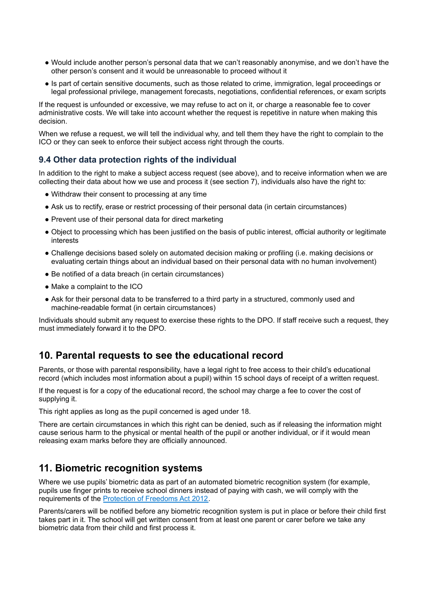- Would include another person's personal data that we can't reasonably anonymise, and we don't have the other person's consent and it would be unreasonable to proceed without it
- Is part of certain sensitive documents, such as those related to crime, immigration, legal proceedings or legal professional privilege, management forecasts, negotiations, confidential references, or exam scripts

If the request is unfounded or excessive, we may refuse to act on it, or charge a reasonable fee to cover administrative costs. We will take into account whether the request is repetitive in nature when making this decision.

When we refuse a request, we will tell the individual why, and tell them they have the right to complain to the ICO or they can seek to enforce their subject access right through the courts.

#### **9.4 Other data protection rights of the individual**

In addition to the right to make a subject access request (see above), and to receive information when we are collecting their data about how we use and process it (see section 7), individuals also have the right to:

- Withdraw their consent to processing at any time
- Ask us to rectify, erase or restrict processing of their personal data (in certain circumstances)
- Prevent use of their personal data for direct marketing
- Object to processing which has been justified on the basis of public interest, official authority or legitimate interests
- Challenge decisions based solely on automated decision making or profiling (i.e. making decisions or evaluating certain things about an individual based on their personal data with no human involvement)
- Be notified of a data breach (in certain circumstances)
- Make a complaint to the ICO
- Ask for their personal data to be transferred to a third party in a structured, commonly used and machine-readable format (in certain circumstances)

Individuals should submit any request to exercise these rights to the DPO. If staff receive such a request, they must immediately forward it to the DPO.

## <span id="page-7-0"></span>**10. Parental requests to see the educational record**

Parents, or those with parental responsibility, have a legal right to free access to their child's educational record (which includes most information about a pupil) within 15 school days of receipt of a written request.

If the request is for a copy of the educational record, the school may charge a fee to cover the cost of supplying it.

This right applies as long as the pupil concerned is aged under 18.

There are certain circumstances in which this right can be denied, such as if releasing the information might cause serious harm to the physical or mental health of the pupil or another individual, or if it would mean releasing exam marks before they are officially announced.

## <span id="page-7-1"></span>**11. Biometric recognition systems**

Where we use pupils' biometric data as part of an automated biometric recognition system (for example, pupils use finger prints to receive school dinners instead of paying with cash, we will comply with the requirements of the Protection of [Freedoms](https://www.legislation.gov.uk/ukpga/2012/9/section/26) Act 2012.

Parents/carers will be notified before any biometric recognition system is put in place or before their child first takes part in it. The school will get written consent from at least one parent or carer before we take any biometric data from their child and first process it.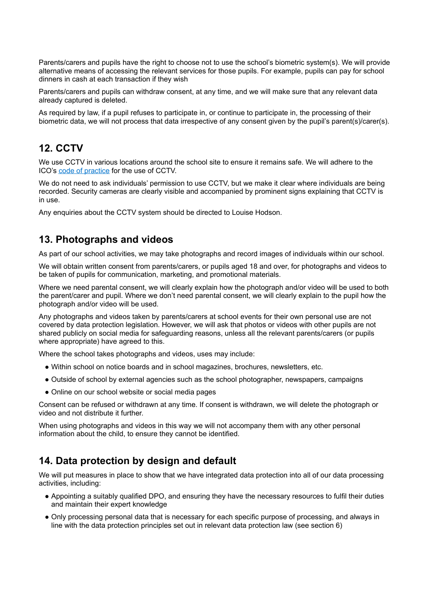Parents/carers and pupils have the right to choose not to use the school's biometric system(s). We will provide alternative means of accessing the relevant services for those pupils. For example, pupils can pay for school dinners in cash at each transaction if they wish

Parents/carers and pupils can withdraw consent, at any time, and we will make sure that any relevant data already captured is deleted.

As required by law, if a pupil refuses to participate in, or continue to participate in, the processing of their biometric data, we will not process that data irrespective of any consent given by the pupil's parent(s)/carer(s).

# <span id="page-8-0"></span>**12. CCTV**

We use CCTV in various locations around the school site to ensure it remains safe. We will adhere to the ICO's code of [practice](https://ico.org.uk/media/for-organisations/documents/1542/cctv-code-of-practice.pdf) for the use of CCTV.

We do not need to ask individuals' permission to use CCTV, but we make it clear where individuals are being recorded. Security cameras are clearly visible and accompanied by prominent signs explaining that CCTV is in use.

<span id="page-8-1"></span>Any enquiries about the CCTV system should be directed to Louise Hodson.

# **13. Photographs and videos**

As part of our school activities, we may take photographs and record images of individuals within our school.

We will obtain written consent from parents/carers, or pupils aged 18 and over, for photographs and videos to be taken of pupils for communication, marketing, and promotional materials.

Where we need parental consent, we will clearly explain how the photograph and/or video will be used to both the parent/carer and pupil. Where we don't need parental consent, we will clearly explain to the pupil how the photograph and/or video will be used.

Any photographs and videos taken by parents/carers at school events for their own personal use are not covered by data protection legislation. However, we will ask that photos or videos with other pupils are not shared publicly on social media for safeguarding reasons, unless all the relevant parents/carers (or pupils where appropriate) have agreed to this.

Where the school takes photographs and videos, uses may include:

- Within school on notice boards and in school magazines, brochures, newsletters, etc.
- Outside of school by external agencies such as the school photographer, newspapers, campaigns
- Online on our school website or social media pages

Consent can be refused or withdrawn at any time. If consent is withdrawn, we will delete the photograph or video and not distribute it further.

When using photographs and videos in this way we will not accompany them with any other personal information about the child, to ensure they cannot be identified.

# <span id="page-8-2"></span>**14. Data protection by design and default**

We will put measures in place to show that we have integrated data protection into all of our data processing activities, including:

- Appointing a suitably qualified DPO, and ensuring they have the necessary resources to fulfil their duties and maintain their expert knowledge
- Only processing personal data that is necessary for each specific purpose of processing, and always in line with the data protection principles set out in relevant data protection law (see section 6)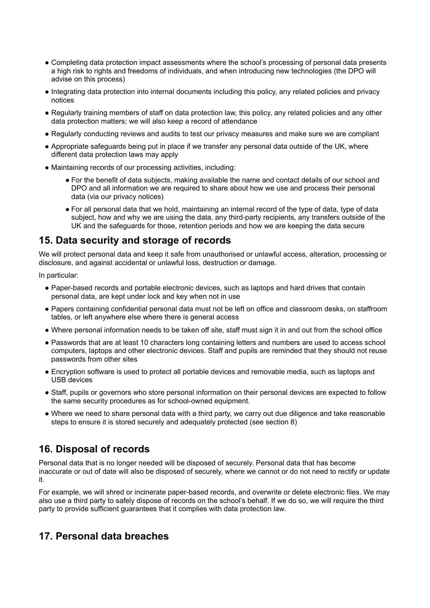- Completing data protection impact assessments where the school's processing of personal data presents a high risk to rights and freedoms of individuals, and when introducing new technologies (the DPO will advise on this process)
- Integrating data protection into internal documents including this policy, any related policies and privacy notices
- Regularly training members of staff on data protection law, this policy, any related policies and any other data protection matters; we will also keep a record of attendance
- Regularly conducting reviews and audits to test our privacy measures and make sure we are compliant
- Appropriate safeguards being put in place if we transfer any personal data outside of the UK, where different data protection laws may apply
- Maintaining records of our processing activities, including:
	- For the benefit of data subjects, making available the name and contact details of our school and DPO and all information we are required to share about how we use and process their personal data (via our privacy notices)
	- For all personal data that we hold, maintaining an internal record of the type of data, type of data subject, how and why we are using the data, any third-party recipients, any transfers outside of the UK and the safeguards for those, retention periods and how we are keeping the data secure

## <span id="page-9-0"></span>**15. Data security and storage of records**

We will protect personal data and keep it safe from unauthorised or unlawful access, alteration, processing or disclosure, and against accidental or unlawful loss, destruction or damage.

In particular:

- Paper-based records and portable electronic devices, such as laptops and hard drives that contain personal data, are kept under lock and key when not in use
- Papers containing confidential personal data must not be left on office and classroom desks, on staffroom tables, or left anywhere else where there is general access
- Where personal information needs to be taken off site, staff must sign it in and out from the school office
- Passwords that are at least 10 characters long containing letters and numbers are used to access school computers, laptops and other electronic devices. Staff and pupils are reminded that they should not reuse passwords from other sites
- Encryption software is used to protect all portable devices and removable media, such as laptops and USB devices
- Staff, pupils or governors who store personal information on their personal devices are expected to follow the same security procedures as for school-owned equipment.
- Where we need to share personal data with a third party, we carry out due diligence and take reasonable steps to ensure it is stored securely and adequately protected (see section 8)

# <span id="page-9-1"></span>**16. Disposal of records**

Personal data that is no longer needed will be disposed of securely. Personal data that has become inaccurate or out of date will also be disposed of securely, where we cannot or do not need to rectify or update it.

For example, we will shred or incinerate paper-based records, and overwrite or delete electronic files. We may also use a third party to safely dispose of records on the school's behalf. If we do so, we will require the third party to provide sufficient guarantees that it complies with data protection law.

## <span id="page-9-2"></span>**17. Personal data breaches**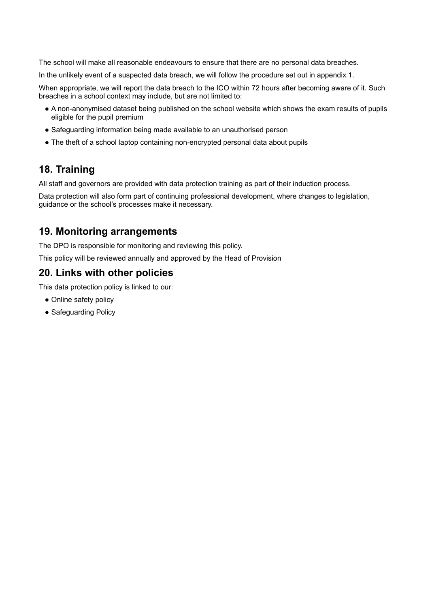The school will make all reasonable endeavours to ensure that there are no personal data breaches.

In the unlikely event of a suspected data breach, we will follow the procedure set out in appendix 1.

When appropriate, we will report the data breach to the ICO within 72 hours after becoming aware of it. Such breaches in a school context may include, but are not limited to:

- A non-anonymised dataset being published on the school website which shows the exam results of pupils eligible for the pupil premium
- Safeguarding information being made available to an unauthorised person
- The theft of a school laptop containing non-encrypted personal data about pupils

# <span id="page-10-0"></span>**18. Training**

All staff and governors are provided with data protection training as part of their induction process.

Data protection will also form part of continuing professional development, where changes to legislation, guidance or the school's processes make it necessary.

# <span id="page-10-1"></span>**19. Monitoring arrangements**

The DPO is responsible for monitoring and reviewing this policy.

<span id="page-10-2"></span>This policy will be reviewed annually and approved by the Head of Provision

## **20. Links with other policies**

This data protection policy is linked to our:

- Online safety policy
- Safeguarding Policy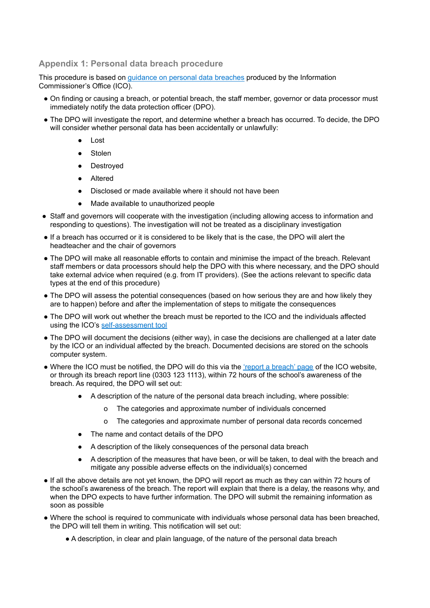#### <span id="page-11-0"></span>**Appendix 1: Personal data breach procedure**

This procedure is based on guidance on personal data [breaches](https://ico.org.uk/for-organisations/guide-to-the-general-data-protection-regulation-gdpr/personal-data-breaches/) produced by the Information Commissioner's Office (ICO).

- On finding or causing a breach, or potential breach, the staff member, governor or data processor must immediately notify the data protection officer (DPO).
- The DPO will investigate the report, and determine whether a breach has occurred. To decide, the DPO will consider whether personal data has been accidentally or unlawfully:
	- Lost
	- **Stolen**
	- Destroyed
	- **Altered**
	- Disclosed or made available where it should not have been
	- Made available to unauthorized people
- Staff and governors will cooperate with the investigation (including allowing access to information and responding to questions). The investigation will not be treated as a disciplinary investigation
- If a breach has occurred or it is considered to be likely that is the case, the DPO will alert the headteacher and the chair of governors
- The DPO will make all reasonable efforts to contain and minimise the impact of the breach. Relevant staff members or data processors should help the DPO with this where necessary, and the DPO should take external advice when required (e.g. from IT providers). (See the actions relevant to specific data types at the end of this procedure)
- The DPO will assess the potential consequences (based on how serious they are and how likely they are to happen) before and after the implementation of steps to mitigate the consequences
- The DPO will work out whether the breach must be reported to the ICO and the individuals affected using the ICO's [self-assessment](https://ico.org.uk/for-organisations/report-a-breach/personal-data-breach-assessment/) tool
- The DPO will document the decisions (either way), in case the decisions are challenged at a later date by the ICO or an individual affected by the breach. Documented decisions are stored on the schools computer system.
- Where the ICO must be notified, the DPO will do this via the 'report a [breach'](https://ico.org.uk/for-organisations/report-a-breach/) page of the ICO website, or through its breach report line (0303 123 1113), within 72 hours of the school's awareness of the breach. As required, the DPO will set out:
	- A description of the nature of the personal data breach including, where possible:
		- o The categories and approximate number of individuals concerned
		- o The categories and approximate number of personal data records concerned
	- The name and contact details of the DPO
	- A description of the likely consequences of the personal data breach
	- A description of the measures that have been, or will be taken, to deal with the breach and mitigate any possible adverse effects on the individual(s) concerned
- If all the above details are not vet known, the DPO will report as much as they can within 72 hours of the school's awareness of the breach. The report will explain that there is a delay, the reasons why, and when the DPO expects to have further information. The DPO will submit the remaining information as soon as possible
- Where the school is required to communicate with individuals whose personal data has been breached, the DPO will tell them in writing. This notification will set out:
	- A description, in clear and plain language, of the nature of the personal data breach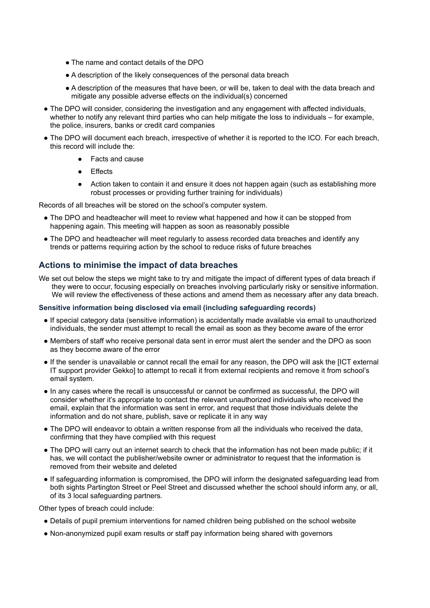- The name and contact details of the DPO
- A description of the likely consequences of the personal data breach
- A description of the measures that have been, or will be, taken to deal with the data breach and mitigate any possible adverse effects on the individual(s) concerned
- The DPO will consider, considering the investigation and any engagement with affected individuals, whether to notify any relevant third parties who can help mitigate the loss to individuals – for example, the police, insurers, banks or credit card companies
- The DPO will document each breach, irrespective of whether it is reported to the ICO. For each breach, this record will include the:
	- **Facts and cause**
	- Effects
	- Action taken to contain it and ensure it does not happen again (such as establishing more robust processes or providing further training for individuals)

Records of all breaches will be stored on the school's computer system.

- The DPO and headteacher will meet to review what happened and how it can be stopped from happening again. This meeting will happen as soon as reasonably possible
- The DPO and headteacher will meet regularly to assess recorded data breaches and identify any trends or patterns requiring action by the school to reduce risks of future breaches

#### **Actions to minimise the impact of data breaches**

We set out below the steps we might take to try and mitigate the impact of different types of data breach if they were to occur, focusing especially on breaches involving particularly risky or sensitive information. We will review the effectiveness of these actions and amend them as necessary after any data breach.

#### **Sensitive information being disclosed via email (including safeguarding records)**

- If special category data (sensitive information) is accidentally made available via email to unauthorized individuals, the sender must attempt to recall the email as soon as they become aware of the error
- Members of staff who receive personal data sent in error must alert the sender and the DPO as soon as they become aware of the error
- If the sender is unavailable or cannot recall the email for any reason, the DPO will ask the [ICT external IT support provider Gekko] to attempt to recall it from external recipients and remove it from school's email system.
- In any cases where the recall is unsuccessful or cannot be confirmed as successful, the DPO will consider whether it's appropriate to contact the relevant unauthorized individuals who received the email, explain that the information was sent in error, and request that those individuals delete the information and do not share, publish, save or replicate it in any way
- The DPO will endeavor to obtain a written response from all the individuals who received the data, confirming that they have complied with this request
- The DPO will carry out an internet search to check that the information has not been made public; if it has, we will contact the publisher/website owner or administrator to request that the information is removed from their website and deleted
- If safeguarding information is compromised, the DPO will inform the designated safeguarding lead from both sights Partington Street or Peel Street and discussed whether the school should inform any, or all, of its 3 local safeguarding partners.

Other types of breach could include:

- Details of pupil premium interventions for named children being published on the school website
- Non-anonymized pupil exam results or staff pay information being shared with governors